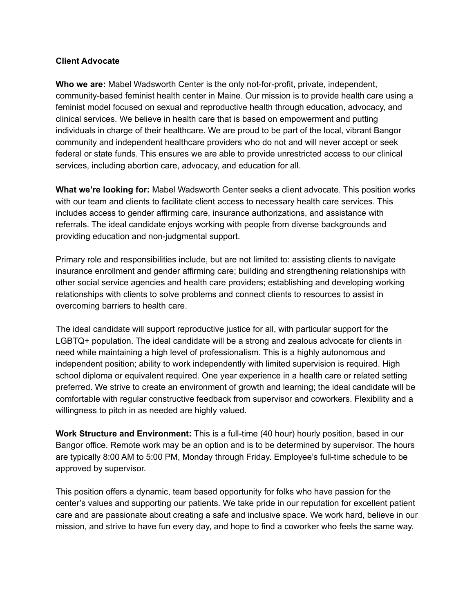## **Client Advocate**

**Who we are:** Mabel Wadsworth Center is the only not-for-profit, private, independent, community-based feminist health center in Maine. Our mission is to provide health care using a feminist model focused on sexual and reproductive health through education, advocacy, and clinical services. We believe in health care that is based on empowerment and putting individuals in charge of their healthcare. We are proud to be part of the local, vibrant Bangor community and independent healthcare providers who do not and will never accept or seek federal or state funds. This ensures we are able to provide unrestricted access to our clinical services, including abortion care, advocacy, and education for all.

**What we're looking for:** Mabel Wadsworth Center seeks a client advocate. This position works with our team and clients to facilitate client access to necessary health care services. This includes access to gender affirming care, insurance authorizations, and assistance with referrals. The ideal candidate enjoys working with people from diverse backgrounds and providing education and non-judgmental support.

Primary role and responsibilities include, but are not limited to: assisting clients to navigate insurance enrollment and gender affirming care; building and strengthening relationships with other social service agencies and health care providers; establishing and developing working relationships with clients to solve problems and connect clients to resources to assist in overcoming barriers to health care.

The ideal candidate will support reproductive justice for all, with particular support for the LGBTQ+ population. The ideal candidate will be a strong and zealous advocate for clients in need while maintaining a high level of professionalism. This is a highly autonomous and independent position; ability to work independently with limited supervision is required. High school diploma or equivalent required. One year experience in a health care or related setting preferred. We strive to create an environment of growth and learning; the ideal candidate will be comfortable with regular constructive feedback from supervisor and coworkers. Flexibility and a willingness to pitch in as needed are highly valued.

**Work Structure and Environment:** This is a full-time (40 hour) hourly position, based in our Bangor office. Remote work may be an option and is to be determined by supervisor. The hours are typically 8:00 AM to 5:00 PM, Monday through Friday. Employee's full-time schedule to be approved by supervisor.

This position offers a dynamic, team based opportunity for folks who have passion for the center's values and supporting our patients. We take pride in our reputation for excellent patient care and are passionate about creating a safe and inclusive space. We work hard, believe in our mission, and strive to have fun every day, and hope to find a coworker who feels the same way.